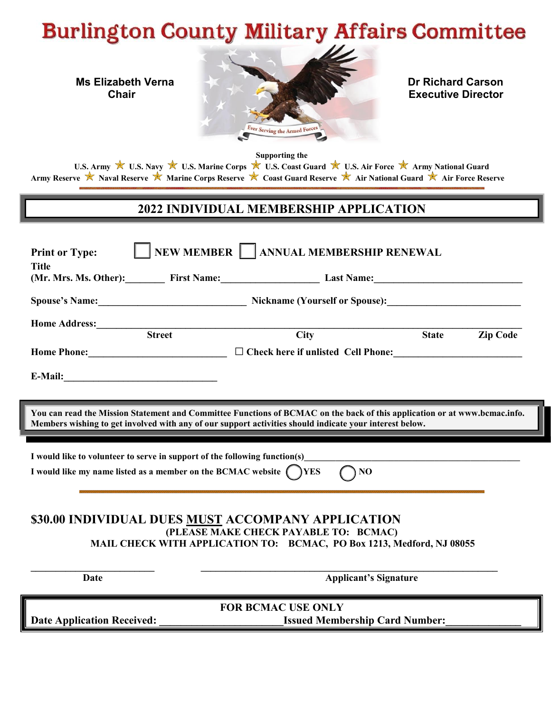# **Burlington County Military Affairs Committee**



**Executive Director** 

**Supporting the**

U.S. Army  $\mathbb X$  U.S. Navy  $\mathbb X$  U.S. Marine Corps  $\mathbb X$  U.S. Coast Guard  $\mathbb X$  U.S. Air Force  $\mathbb X$  Army National Guard **Army Reserve Naval Reserve Marine Corps Reserve Coast Guard Reserve Air National Guard Air Force Reserve** 

## **2022 INDIVIDUAL MEMBERSHIP APPLICATION**

| <b>Print or Type:</b><br><b>Title</b>                                                                                                                                                                                                | NEW MEMBER   ANNUAL MEMBERSHIP RENEWAL                                                                                |              |                 |  |
|--------------------------------------------------------------------------------------------------------------------------------------------------------------------------------------------------------------------------------------|-----------------------------------------------------------------------------------------------------------------------|--------------|-----------------|--|
|                                                                                                                                                                                                                                      | (Mr. Mrs. Ms. Other): First Name: Example 2014 Last Name: Example 2014                                                |              |                 |  |
|                                                                                                                                                                                                                                      |                                                                                                                       |              |                 |  |
| <b>Home Address:</b>                                                                                                                                                                                                                 |                                                                                                                       |              |                 |  |
| <b>Street</b>                                                                                                                                                                                                                        | <b>City</b>                                                                                                           | <b>State</b> | <b>Zip Code</b> |  |
|                                                                                                                                                                                                                                      | Home Phone: ___________________________________ □ Check here if unlisted Cell Phone: ________________________________ |              |                 |  |
|                                                                                                                                                                                                                                      |                                                                                                                       |              |                 |  |
|                                                                                                                                                                                                                                      |                                                                                                                       |              |                 |  |
| You can read the Mission Statement and Committee Functions of BCMAC on the back of this application or at www.bcmac.info.<br>Members wishing to get involved with any of our support activities should indicate your interest below. |                                                                                                                       |              |                 |  |
|                                                                                                                                                                                                                                      |                                                                                                                       |              |                 |  |
|                                                                                                                                                                                                                                      |                                                                                                                       |              |                 |  |
|                                                                                                                                                                                                                                      |                                                                                                                       |              |                 |  |
| I would like to volunteer to serve in support of the following function(s)<br>I would like my name listed as a member on the BCMAC website ( ) YES                                                                                   | ) NO                                                                                                                  |              |                 |  |
|                                                                                                                                                                                                                                      |                                                                                                                       |              |                 |  |
|                                                                                                                                                                                                                                      |                                                                                                                       |              |                 |  |
|                                                                                                                                                                                                                                      | \$30.00 INDIVIDUAL DUES MUST ACCOMPANY APPLICATION                                                                    |              |                 |  |
|                                                                                                                                                                                                                                      | (PLEASE MAKE CHECK PAYABLE TO: BCMAC)                                                                                 |              |                 |  |
|                                                                                                                                                                                                                                      | MAIL CHECK WITH APPLICATION TO: BCMAC, PO Box 1213, Medford, NJ 08055                                                 |              |                 |  |
|                                                                                                                                                                                                                                      |                                                                                                                       |              |                 |  |
| Date                                                                                                                                                                                                                                 | <b>Applicant's Signature</b>                                                                                          |              |                 |  |
|                                                                                                                                                                                                                                      |                                                                                                                       |              |                 |  |
| <b>Date Application Received:</b>                                                                                                                                                                                                    | <b>FOR BCMAC USE ONLY</b><br><b>Issued Membership Card Number:</b>                                                    |              |                 |  |